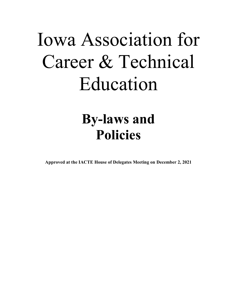# Iowa Association for Career & Technical Education

# **By-laws and Policies**

**Approved at the IACTE House of Delegates Meeting on December 2, 2021**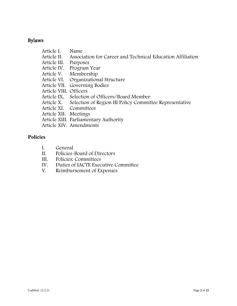## Bylaws

| Article I.             | Name                                                               |
|------------------------|--------------------------------------------------------------------|
| Article II.            | Association for Career and Technical Education Affiliation         |
| Article III.           | Purposes                                                           |
|                        | Article IV. Program Year                                           |
|                        | Article V. Membership                                              |
|                        | Article VI. Organizational Structure                               |
|                        | Article VII. Governing Bodies                                      |
| Article VIII. Officers |                                                                    |
|                        | Article IX. Selection of Officers/Board Member                     |
|                        | Article X. Selection of Region III Policy Committee Representative |
|                        | Article XI. Committees                                             |
| Article XII. Meetings  |                                                                    |
|                        | Article XIII. Parliamentary Authority                              |
|                        | Article XIV. Amendments                                            |

## **Policies**

- I. General<br>II. Policies-
- Policies-Board of Directors
- III. Policies: Committees
- IV. Duties of IACTE Executive Committee<br>V. Reimbursement of Expenses
- Reimbursement of Expenses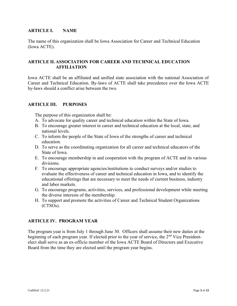#### **ARTICLE I. NAME**

The name of this organization shall be Iowa Association for Career and Technical Education (Iowa ACTE).

#### **ARTICLE II. ASSOCIATION FOR CAREER AND TECHNICAL EDUCATION AFFILIATION**

Iowa ACTE shall be an affiliated and unified state association with the national Association of Career and Technical Education. By-laws of ACTE shall take precedence over the Iowa ACTE by-laws should a conflict arise between the two.

#### **ARTICLE III. PURPOSES**

The purpose of this organization shall be:

- A. To advocate for quality career and technical education within the State of Iowa.
- B. To encourage greater interest in career and technical education at the local, state, and national levels.
- C. To inform the people of the State of Iowa of the strengths of career and technical education.
- D. To serve as the coordinating organization for all career and technical educators of the State of Iowa.
- E. To encourage membership in and cooperation with the program of ACTE and its various divisions.
- F. To encourage appropriate agencies/institutions to conduct surveys and/or studies to evaluate the effectiveness of career and technical education in Iowa, and to identify the educational offerings that are necessary to meet the needs of current business, industry and labor markets.
- G. To encourage programs, activities, services, and professional development while meeting the diverse interests of the membership.
- H. To support and promote the activities of Career and Technical Student Organizations (CTSOs).

#### **ARTICLE IV. PROGRAM YEAR**

The program year is from July 1 through June 30. Officers shall assume their new duties at the beginning of each program year. If elected prior to the year of service, the 2<sup>nd</sup> Vice Presidentelect shall serve as an ex-officio member of the Iowa ACTE Board of Directors and Executive Board from the time they are elected until the program year begins.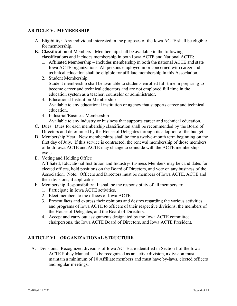#### **ARTICLE V. MEMBERSHIP**

- A. Eligibility: Any individual interested in the purposes of the Iowa ACTE shall be eligible for membership.
- B. Classification of Members Membership shall be available in the following classifications and includes membership in both Iowa ACTE and National ACTE:
	- 1. Affiliated Membership Includes membership in both the national ACTE and state Iowa ACTE organizations. All persons employed in or concerned with career and technical education shall be eligible for affiliate membership in this Association.
	- 2. Student Membership Student membership shall be available to students enrolled full-time in preparing to become career and technical educators and are not employed full time in the education system as a teacher, counselor or administrator.
	- 3. Educational Institution Membership Available to any educational institution or agency that supports career and technical education.
	- 4. Industrial/Business Membership
		- Available to any industry or business that supports career and technical education.
- C. Dues: Dues for each membership classification shall be recommended by the Board of Directors and determined by the House of Delegates through its adoption of the budget.
- D. Membership Year: New memberships shall be for a twelve-month term beginning on the first day of July. If this service is contracted, the renewal membership of those members of both Iowa ACTE and ACTE may change to coincide with the ACTE membership cycle.
- E. Voting and Holding Office

Affiliated, Educational Institution and Industry/Business Members may be candidates for elected offices, hold positions on the Board of Directors, and vote on any business of the Association. Note: Officers and Directors must be members of Iowa ACTE, ACTE and their divisions, if applicable.

- F. Membership Responsibility: It shall be the responsibility of all members to:
	- 1. Participate in Iowa ACTE activities.
	- 2. Elect members to the offices of Iowa ACTE.
	- 3. Present facts and express their opinions and desires regarding the various activities and programs of Iowa ACTE to officers of their respective divisions, the members of the House of Delegates, and the Board of Directors.
	- 4. Accept and carry out assignments designated by the Iowa ACTE committee chairpersons, the Iowa ACTE Board of Directors, and Iowa ACTE President.

#### **ARTICLE VI. ORGANIZATIONAL STRUCTURE**

A. Divisions: Recognized divisions of Iowa ACTE are identified in Section I of the Iowa ACTE Policy Manual. To be recognized as an active division, a division must maintain a minimum of 10 Affiliate members and must have by-laws, elected officers and regular meetings.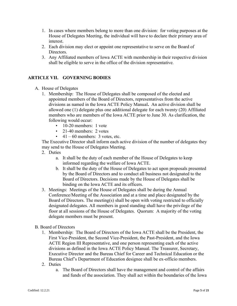- 1. In cases where members belong to more than one division: for voting purposes at the House of Delegates Meeting, the individual will have to declare their primary area of interest.
- 2. Each division may elect or appoint one representative to serve on the Board of Directors.
- 3. Any Affiliated members of Iowa ACTE with membership in their respective division shall be eligible to serve in the office of the division representative.

#### **ARTICLE VII. GOVERNING BODIES**

- A. House of Delegates
	- 1. Membership: The House of Delegates shall be composed of the elected and appointed members of the Board of Directors, representatives from the active divisions as named in the Iowa ACTE Policy Manual**.** An active division shall be allowed one (1) delegate plus one additional delegate for each twenty (20) Affiliated members who are members of the Iowa ACTE prior to June 30. As clarification, the following would occur:
		- 10-20 members: 1 vote
		- 21-40 members: 2 votes
		- $41 60$  members: 3 votes, etc.

The Executive Director shall inform each active division of the number of delegates they may send to the House of Delegates Meeting.

- 2. Duties
	- a. It shall be the duty of each member of the House of Delegates to keep informed regarding the welfare of Iowa ACTE.
	- b. It shall be the duty of the House of Delegates to act upon proposals presented by the Board of Directors and to conduct all business not designated to the Board of Directors. Decisions made by the House of Delegates shall be binding on the Iowa ACTE and its officers.
- 3. Meetings: Meetings of the House of Delegates shall be during the Annual Conference/Meeting of the Association and at a time and place designated by the Board of Directors. The meeting(s) shall be open with voting restricted to officially designated delegates. All members in good standing shall have the privilege of the floor at all sessions of the House of Delegates. Quorum: A majority of the voting delegate members must be present.

#### B. Board of Directors

- 1. Membership: The Board of Directors of the Iowa ACTE shall be the President, the First Vice-President, the Second Vice-President, the Past-President, and the Iowa ACTE Region III Representative, and one person representing each of the active divisions as defined in the Iowa ACTE Policy Manual. The Treasurer, Secretary, Executive Director and the Bureau Chief for Career and Technical Education or the Bureau Chief's Department of Education designee shall be ex-officio members.
- 2. Duties
	- a. The Board of Directors shall have the management and control of the affairs and funds of the association. They shall act within the boundaries of the Iowa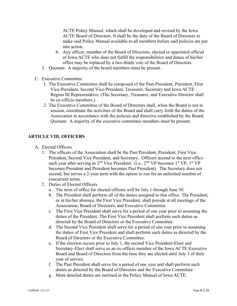ACTE Policy Manual, which shall be developed and revised by the Iowa ACTE Board of Directors. It shall be the duty of the Board of Directors to make said Policy Manual available to all members before said policies are put into action.

- b. Any officer, member of the Board of Directors, elected or appointed official of Iowa ACTE who does not fulfill the responsibilities and duties of his/her office may be replaced by a two-thirds vote of the Board of Directors.
- 3. Quorum: A majority of the board members must be present.
- C. Executive Committee
	- 1. The Executive Committee shall be composed of the Past-President, President, First Vice-President, Second Vice-President, Treasurer, Secretary and Iowa ACTE Region III Representative. (The Secretary, Treasurer, and Executive Director shall be ex-officio members.)
	- 2. The Executive Committee of the Board of Directors shall, when the Board is not in session, coordinate the activities of the Board and shall carry forth the duties of the Association in accordance with the policies and directive established by the Board. Quorum: A majority of the executive committee members must be present.

#### **ARTICLE VIII. OFFICERS**

- A. Elected Officers
	- 1. The officers of the Association shall be the Past President, President, First Vice President, Second Vice President, and Secretary. Officers ascend to the next office each year after serving as 2<sup>nd</sup> Vice President. (i.e., 2<sup>nd</sup> VP becomes 1<sup>st</sup> VP, 1<sup>st</sup> VP becomes President and President becomes Past President). The Secretary does not ascend, but serves a 2-year term with the option to run for an unlimited number of concurrent terms.
	- 2. Duties of Elected Officers
		- a. The term of office for elected officers will be July 1 through June 30.
		- b. The President shall perform all of the duties assigned to that office. The President, or in his/her absence, the First Vice President, shall preside at all meetings of the Association, Board of Directors, and Executive Committee.
		- c. The First Vice President shall serve for a period of one year prior to assuming the duties of the President. The First Vice President shall perform such duties as directed by the Board of Directors or the Executive Committee.
		- d. The Second Vice President shall serve for a period of one year prior to assuming the duties of First Vice President and shall perform such duties as directed by the Board of Directors or the Executive Committee.
		- e. If the election occurs prior to July 1, the second Vice President-Elect and Secretary-Elect shall serve as an ex-officio member of the Iowa ACTE Executive Board and Board of Directors from the time they are elected until July 1 of their year of service.
		- f. The Past President shall serve for a period of one year and shall perform such duties as directed by the Board of Directors and the Executive Committee
		- g. More detailed duties are outlined in the Policy Manual of Iowa ACTE.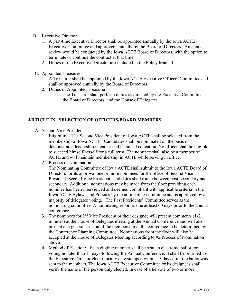- B. Executive Director
	- 1. A part-time Executive Director shall be appointed annually by the Iowa ACTE Executive Committee and approved annually by the Board of Directors. An annual review would be conducted by the Iowa ACTE Board of Directors, with the option to terminate or continue the contract at that time.
	- 2. Duties of the Executive Director are included in the Policy Manual.
- C. Appointed Treasurer
	- 1. A Treasurer shall be appointed by the Iowa ACTE Executive Officers Committee and shall be approved annually by the Board of Directors.
	- 2. Duties of Appointed Treasurer
		- a. The Treasurer shall perform duties as directed by the Executive Committee, the Board of Directors, and the House of Delegates.

#### **ARTICLE IX. SELECTION OF OFFICERS/BOARD MEMBERS**

- A. Second Vice President
	- 1. Eligibility The Second Vice President of Iowa ACTE shall be selected from the membership of Iowa ACTE.Candidates shall be nominated on the basis of demonstrated leadership in career and technical education. No officer shall be eligible to succeed himself/herself for a full term. The nominee shall also be a member of ACTE and will maintain membership in ACTE while serving in office.
	- 2. Process of Nomination

The Nominating Committee of Iowa ACTE shall submit to the Iowa ACTE Board of Directors for its approval one or more nominees for the office of Second Vice-President. Second Vice President candidates shall rotate between post-secondary and secondary. Additional nominations may be made from the floor providing each nominee has been interviewed and deemed compliant with applicable criteria in the Iowa ACTE Bylaws and Policies by the nominating committee and is approved by a majority of delegates voting. The Past Presidents' Committee serves as the nominating committee. A nominating report is due at least 60 days prior to the annual conference.

- 3. The nominees for  $2<sup>nd</sup>$  Vice President or their designee will present comments (1-2) minutes) at the House of Delegates meeting at the Annual Conference and will also present at a general session of the membership at the conference to be determined by the Conference Planning Committee. Nominations from the floor will also be accepted at the House of Delegates Meeting according to #2 Process of Nomination above.
- 4. Method of Election: Each eligible member shall be sent an electronic ballot for voting no later than 15 days following the Annual Conference. It shall be returned to the Executive Director electronically date stamped within 15 days after the ballot was sent to the members. The Iowa ACTE Executive Committee or its designees shall verify the name of the person duly elected. In case of a tie vote of two or more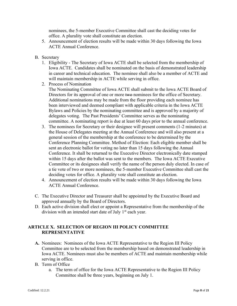nominees, the 5-member Executive Committee shall cast the deciding votes for office. A plurality vote shall constitute an election.

- 5. Announcement of election results will be made within 30 days following the Iowa ACTE Annual Conference.
- B. Secretary
	- 1. Eligibility The Secretary of Iowa ACTE shall be selected from the membership of Iowa ACTE. Candidates shall be nominated on the basis of demonstrated leadership in career and technical education. The nominee shall also be a member of ACTE and will maintain membership in ACTE while serving in office.
	- 2. Process of Nomination

The Nominating Committee of Iowa ACTE shall submit to the Iowa ACTE Board of Directors for its approval of one or more two nominees for the office of Secretary. Additional nominations may be made from the floor providing each nominee has been interviewed and deemed compliant with applicable criteria in the Iowa ACTE Bylaws and Policies by the nominating committee and is approved by a majority of delegates voting. The Past Presidents' Committee serves as the nominating committee. A nominating report is due at least 60 days prior to the annual conference.

- 3. The nominees for Secretary or their designee will present comments (1-2 minutes) at the House of Delegates meeting at the Annual Conference and will also present at a general session of the membership at the conference to be determined by the Conference Planning Committee. Method of Election: Each eligible member shall be sent an electronic ballot for voting no later than 15 days following the Annual Conference. It shall be returned to the Executive Director electronically date stamped within 15 days after the ballot was sent to the members. The Iowa ACTE Executive Committee or its designees shall verify the name of the person duly elected. In case of a tie vote of two or more nominees, the 5-member Executive Committee shall cast the deciding votes for office. A plurality vote shall constitute an election.
- 4. Announcement of election results will be made within 30 days following the Iowa ACTE Annual Conference.
- C. The Executive Director and Treasurer shall be appointed by the Executive Board and approved annually by the Board of Directors.
- D. Each active division shall elect or appoint a Representative from the membership of the division with an intended start date of July  $1<sup>st</sup>$  each year.

#### **ARTICLE X. SELECTION OF REGION III POLICY COMMITTEE REPRESENTATIVE**

- **A.** Nominees: Nominees of the Iowa ACTE Representative to the Region III Policy Committee are to be selected from the membership based on demonstrated leadership in Iowa ACTE. Nominees must also be members of ACTE and maintain membership while serving in office.
- B. Term of Office
	- a. The term of office for the Iowa ACTE Representative to the Region III Policy Committee shall be three years, beginning on July 1.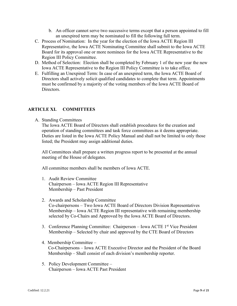- b. An officer cannot serve two successive terms except that a person appointed to fill an unexpired term may be nominated to fill the following full term.
- C. Process of Nomination: In the year for the election of the Iowa ACTE Region III Representative, the Iowa ACTE Nominating Committee shall submit to the Iowa ACTE Board for its approval one or more nominees for the Iowa ACTE Representative to the Region III Policy Committee.
- D. Method of Selection: Election shall be completed by February 1 of the new year the new Iowa ACTE Representative to the Region III Policy Committee is to take office.
- E. Fulfilling an Unexpired Term: In case of an unexpired term, the Iowa ACTE Board of Directors shall actively solicit qualified candidates to complete that term. Appointments must be confirmed by a majority of the voting members of the Iowa ACTE Board of Directors.

#### **ARTICLE XI. COMMITTEES**

A. Standing Committees

The Iowa ACTE Board of Directors shall establish procedures for the creation and operation of standing committees and task force committees as it deems appropriate. Duties are listed in the Iowa ACTE Policy Manual and shall not be limited to only those listed; the President may assign additional duties.

All Committees shall prepare a written progress report to be presented at the annual meeting of the House of delegates.

All committee members shall be members of Iowa ACTE.

- 1. Audit Review Committee Chairperson – Iowa ACTE Region III Representative Membership – Past President
- 2. Awards and Scholarship Committee Co-chairpersons – Two Iowa ACTE Board of Directors Division Representatives Membership – Iowa ACTE Region III representative with remaining membership selected by Co-Chairs and Approved by the Iowa ACTE Board of Directors.
- 3. Conference Planning Committee: Chairperson Iowa ACTE 1<sup>st</sup> Vice President Membership – Selected by chair and approved by the CTE Board of Directors
- 4. Membership Committee Co-Chairpersons – Iowa ACTE Executive Director and the President of the Board Membership – Shall consist of each division's membership reporter.
- 5. Policy Development Committee Chairperson – Iowa ACTE Past President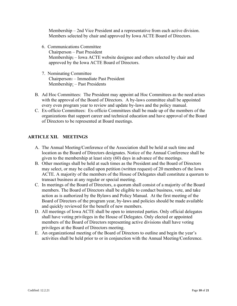Membership – 2nd Vice President and a representative from each active division. Members selected by chair and approved by Iowa ACTE Board of Directors.

- 6. Communications Committee Chairperson – Past President Membership; – Iowa ACTE website designee and others selected by chair and approved by the Iowa ACTE Board of Directors.
- 7. Nominating Committee Chairperson: – Immediate Past President Membership: – Past Presidents
- B. Ad Hoc Committees: The President may appoint ad Hoc Committees as the need arises with the approval of the Board of Directors. A by-laws committee shall be appointed every even program year to review and update by-laws and the policy manual.
- C. Ex-officio Committees: Ex-officio Committees shall be made up of the members of the organizations that support career and technical education and have approval of the Board of Directors to be represented at Board meetings.

#### **ARTICLE XII. MEETINGS**

- A. The Annual Meeting/Conference of the Association shall be held at such time and location as the Board of Directors designates. Notice of the Annual Conference shall be given to the membership at least sixty (60) days in advance of the meetings.
- B. Other meetings shall be held at such times as the President and the Board of Directors may select, or may be called upon petition (written request) of 20 members of the Iowa ACTE. A majority of the members of the House of Delegates shall constitute a quorum to transact business at any regular or special meeting.
- C. In meetings of the Board of Directors, a quorum shall consist of a majority of the Board members. The Board of Directors shall be eligible to conduct business, vote, and take action as is authorized by the Bylaws and Policy Manual. At the first meeting of the Board of Directors of the program year, by-laws and policies should be made available and quickly reviewed for the benefit of new members.
- D. All meetings of Iowa ACTE shall be open to interested parties. Only official delegates shall have voting privileges in the House of Delegates. Only elected or appointed members of the Board of Directors representing active divisions shall have voting privileges at the Board of Directors meeting.
- E. An organizational meeting of the Board of Directors to outline and begin the year's activities shall be held prior to or in conjunction with the Annual Meeting/Conference.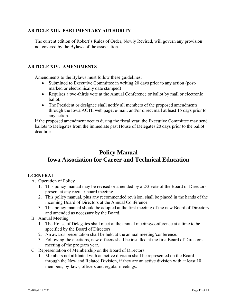#### **ARTICLE XIII. PARLIMENTARY AUTHORITY**

The current edition of Robert's Rules of Order, Newly Revised, will govern any provision not covered by the Bylaws of the association.

#### **ARTICLE XIV. AMENDMENTS**

Amendments to the Bylaws must follow these guidelines:

- Submitted to Executive Committee in writing 20 days prior to any action (postmarked or electronically date stamped)
- Requires a two-thirds vote at the Annual Conference or ballot by mail or electronic ballot.
- The President or designee shall notify all members of the proposed amendments through the Iowa ACTE web page**,** e-mail, and/or direct mail at least 15 days prior to any action.

If the proposed amendment occurs during the fiscal year, the Executive Committee may send ballots to Delegates from the immediate past House of Delegates 20 days prior to the ballot deadline.

# **Policy Manual Iowa Association for Career and Technical Education**

#### **I.GENERAL**

- A. Operation of Policy
	- 1. This policy manual may be revised or amended by a 2/3 vote of the Board of Directors present at any regular board meeting.
	- 2. This policy manual, plus any recommended revision, shall be placed in the hands of the incoming Board of Directors at the Annual Conference.
	- 3. This policy manual should be adopted at the first meeting of the new Board of Directors and amended as necessary by the Board.
- B Annual Meeting
	- 1. The House of Delegates shall meet at the annual meeting/conference at a time to be specified by the Board of Directors
	- 2. An awards presentation shall be held at the annual meeting/conference.
	- 3. Following the elections, new officers shall be installed at the first Board of Directors meeting of the program year.
- C. Representation of Membership on the Board of Directors
	- 1. Members not affiliated with an active division shall be represented on the Board through the New and Related Division, if they are an active division with at least 10 members, by-laws, officers and regular meetings.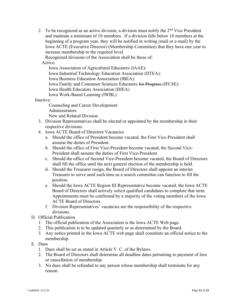2. To be recognized as an active division, a division must notify the  $2<sup>nd</sup>$  Vice President and maintain a minimum of 10 members.If a division falls below 10 members at the beginning of a program year, they will be notified in writing (mail or e-mail) by the Iowa ACTE (Executive Director) (Membership Committee) that they have one year to increase membership to the required level.

Recognized divisions of the Association shall be those of:

Active:

Iowa Association of Agricultural Educators (IAAE): Iowa Industrial Technology Education Association (IITEA): Iowa Business Education Association (IBEA): Iowa Family and Consumer Sciences Educators for Progress (IFCSE): Iowa Health Educators Association (IHEA) Iowa Work-Based Learning (IWBL)

Inactive:

Counseling and Career Development **Administrators** New and Related Division

- 3. Division Representatives shall be elected or appointed by the membership in their respective divisions.
- 4. Iowa ACTE Board of Directors Vacancies
	- a. Should the office of President become vacated, the First Vice-President shall assume the duties of President.
	- b. Should the office of First Vice-President become vacated, the Second Vice-President shall assume the duties of First Vice-President.
	- c. Should the office of Second Vice-President become vacated, the Board of Directors shall fill the office until the next general election of the membership is held.
	- d. Should the Treasurer resign, the Board of Directors shall appoint an interim Treasurer to serve until such time as a search committee can function to fill the position.
	- e. Should the Iowa ACTE Region III Representative become vacated, the Iowa ACTE Board of Directors shall actively solicit qualified candidates to complete that term. Appointments must be confirmed by a majority of the voting members of the Iowa ACTE Board of Directors.
	- f. Division Representatives' vacancies are the responsibility of the respective divisions.
- D. Official Publication
	- 1. The official publication of the Association is the Iowa ACTE Web page.
	- 2. This publication is to be updated quarterly or as determined by the Board.
	- 3. Any notice printed in the Iowa ACTE web page shall constitute an official notice to the membership.
- E. Dues
	- 1. Dues shall be set as stated in Article V. C. of the Bylaws.
	- 2. The Board of Directors shall determine all deadline dates pertaining to payment of fees or cancellation of membership.
	- 3. No dues shall be refunded to any person whose membership shall terminate for any reason.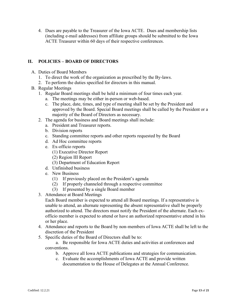4. Dues are payable to the Treasurer of the Iowa ACTE. Dues and membership lists (including e-mail addresses) from affiliate groups should be submitted to the Iowa ACTE Treasurer within 60 days of their respective conferences.

#### **II. POLICIES – BOARD OF DIRECTORS**

- A. Duties of Board Members
	- 1. To direct the work of the organization as prescribed by the By-laws.
	- 2. To perform the duties specified for directors in this manual.
- B. Regular Meetings
	- 1. Regular Board meetings shall be held a minimum of four times each year.
		- a. The meetings may be either in-person or web-based.
		- c. The place, date, times, and type of meeting shall be set by the President and approved by the Board. Special Board meetings shall be called by the President or a majority of the Board of Directors as necessary.
	- 2. The agenda for business and Board meetings shall include:
		- a. President and Treasurer reports.
		- b. Division reports
		- c. Standing committee reports and other reports requested by the Board
		- d. Ad Hoc committee reports
		- e. Ex-officio reports
			- (1) Executive Director Report
			- (2) Region III Report
			- (3) Department of Education Report
		- d. Unfinished business
		- e. New Business
			- (1) If previously placed on the President's agenda
			- (2) If properly channeled through a respective committee
			- (3) If presented by a single Board member
	- 3. Attendance at Board Meetings
		- Each Board member is expected to attend all Board meetings. If a representative is unable to attend, an alternate representing the absent representative shall be properly authorized to attend. The directors must notify the President of the alternate. Each exofficio member is expected to attend or have an authorized representative attend in his or her place.
	- 4. Attendance and reports to the Board by non-members of Iowa ACTE shall be left to the discretion of the President
	- 5. Specific duties of the Board of Directors shall be to:

a. Be responsible for Iowa ACTE duties and activities at conferences and conventions.

- b. Approve all Iowa ACTE publications and strategies for communication.
- c. Evaluate the accomplishments of Iowa ACTE and provide written documentation to the House of Delegates at the Annual Conference.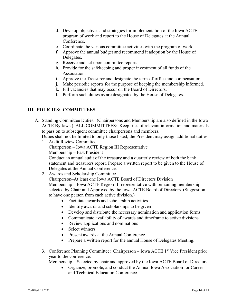- d. Develop objectives and strategies for implementation of the Iowa ACTE program of work and report to the House of Delegates at the Annual Conference.
- e. Coordinate the various committee activities with the program of work.
- f. Approve the annual budget and recommend it adoption by the House of Delegates.
- g. Receive and act upon committee reports
- h. Provide for the safekeeping and proper investment of all funds of the Association.
- i. Approve the Treasurer and designate the term-of-office and compensation.
- j. Make periodic reports for the purpose of keeping the membership informed.
- k. Fill vacancies that may occur on the Board of Directors.
- l. Perform such duties as are designated by the House of Delegates.

#### **III. POLICIES: COMMITTEES**

A. Standing Committee Duties. (Chairpersons and Membership are also defined in the Iowa ACTE By-laws.) ALL COMMITTEES: Keep files of relevant information and materials to pass on to subsequent committee chairpersons and members.

Duties shall not be limited to only those listed; the President may assign additional duties.

- 1. Audit Review Committee Chairperson – Iowa ACTE Region III Representative Membership – Past President Conduct an annual audit of the treasury and a quarterly review of both the bank statement and treasurers report. Prepare a written report to be given to the House of Delegates at the Annual Conference.
- 2. Awards and Scholarship Committee

Chairperson–At least one Iowa ACTE Board of Directors Division Membership – Iowa ACTE Region III representative with remaining membership selected by Chair and Approved by the Iowa ACTE Board of Directors. (Suggestion to have one person from each active division.)

- Facilitate awards and scholarship activities
- Identify awards and scholarships to be given
- Develop and distribute the necessary nomination and application forms
- Communicate availability of awards and timeframe to active divisions.
- Review applications and nominations
- Select winners
- Present awards at the Annual Conference
- Prepare a written report for the annual House of Delegates Meeting.
- 3. Conference Planning Committee: Chairperson Iowa ACTE 1<sup>st</sup> Vice President prior year to the conference.

Membership – Selected by chair and approved by the Iowa ACTE Board of Directors

• Organize, promote, and conduct the Annual Iowa Association for Career and Technical Education Conference.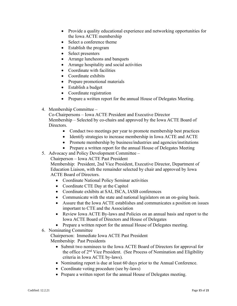- Provide a quality educational experience and networking opportunities for the Iowa ACTE membership
- Select a conference theme
- Establish the program
- Select presenters
- Arrange luncheons and banquets
- Arrange hospitality and social activities
- Coordinate with facilities
- Coordinate exhibits
- Prepare promotional materials
- Establish a budget
- Coordinate registration
- Prepare a written report for the annual House of Delegates Meeting.
- 4. Membership Committee –

Co-Chairpersons – Iowa ACTE President and Executive Director Membership – Selected by co-chairs and approved by the Iowa ACTE Board of Directors.

- Conduct two meetings per year to promote membership best practices
- Identify strategies to increase membership in Iowa ACTE and ACTE
- Promote membership by business/industries and agencies/institutions
- Prepare a written report for the annual House of Delegates Meeting
- 5. Advocacy and Policy Development Committee –

Chairperson – Iowa ACTE Past President

Membership: President, 2nd Vice President, Executive Director, Department of Education Liaison, with the remainder selected by chair and approved by Iowa ACTE Board of Directors.

- Coordinate National Policy Seminar activities
- Coordinate CTE Day at the Capitol
- Coordinate exhibits at SAI, ISCA, IASB conferences
- Communicate with the state and national legislators on an on-going basis.
- Assure that the Iowa ACTE establishes and communicates a position on issues important to CTE and the Association
- Review Iowa ACTE By-laws and Policies on an annual basis and report to the Iowa ACTE Board of Directors and House of Delegates
- Prepare a written report for the annual House of Delegates meeting.
- 6. Nominating Committee

Chairperson: Immediate Iowa ACTE Past President Membership: Past Presidents

- Submit two nominees to the Iowa ACTE Board of Directors for approval for the office of 2<sup>nd</sup> Vice President. (See Process of Nomination and Eligibility criteria in Iowa ACTE by-laws).
- Nominating report is due at least 60 days prior to the Annual Conference.
- Coordinate voting procedure (see by-laws)
- Prepare a written report for the annual House of Delegates meeting.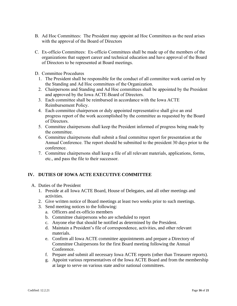- B. Ad Hoc Committees: The President may appoint ad Hoc Committees as the need arises with the approval of the Board of Directors
- C. Ex-officio Committees: Ex-officio Committees shall be made up of the members of the organizations that support career and technical education and have approval of the Board of Directors to be represented at Board meetings.
- D. Committee Procedures
	- 1. The President shall be responsible for the conduct of all committee work carried on by the Standing and Ad Hoc committees of the Organization.
	- 2. Chairpersons and Standing and Ad Hoc committees shall be appointed by the President and approved by the Iowa ACTE Board of Directors.
	- 3. Each committee shall be reimbursed in accordance with the Iowa ACTE Reimbursement Policy.
	- 4. Each committee chairperson or duly appointed representative shall give an oral progress report of the work accomplished by the committee as requested by the Board of Directors.
	- 5. Committee chairpersons shall keep the President informed of progress being made by the committee.
	- 6. Committee chairpersons shall submit a final committee report for presentation at the Annual Conference. The report should be submitted to the president 30 days prior to the conference.
	- 7. Committee chairpersons shall keep a file of all relevant materials, applications, forms, etc., and pass the file to their successor.

#### **IV. DUTIES OF IOWA ACTE EXECUTIVE COMMITTEE**

- A. Duties of the President
	- 1. Preside at all Iowa ACTE Board, House of Delegates, and all other meetings and activities.
	- 2. Give written notice of Board meetings at least two weeks prior to such meetings.
	- 3. Send meeting notices to the following:
		- a. Officers and ex-officio members
		- b. Committee chairpersons who are scheduled to report
		- c. Anyone else that should be notified as determined by the President.
		- d. Maintain a President's file of correspondence, activities, and other relevant materials.
		- e. Confirm all Iowa ACTE committee appointments and prepare a Directory of Committee Chairpersons for the first Board meeting following the Annual Conference.
		- f. Prepare and submit all necessary Iowa ACTE reports (other than Treasurer reports).
		- g. Appoint various representatives of the Iowa ACTE Board and from the membership at large to serve on various state and/or national committees.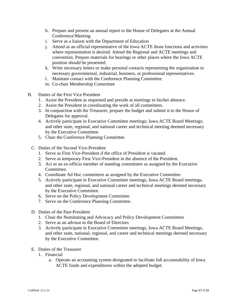- h. Prepare and present an annual report to the House of Delegates at the Annual Conference/Meeting.
- i. Serve as a liaison with the Department of Education
- j. Attend as an official representative of the Iowa ACTE those functions and activities where representation is desired. Attend the Regional and ACTE meetings and convention. Prepare materials for hearings or other places where the Iowa ACTE position should be presented.
- k. Write necessary letters or make personal contacts representing the organization to necessary governmental, industrial, business, or professional representatives.
- l. Maintain contact with the Conference Planning Committee.
- m. Co-chair Membership Committee
- B. Duties of the First Vice President
	- 1. Assist the President as requested and preside at meetings in his/her absence.
	- 2. Assist the President in coordinating the work of all committees.
	- 3. In conjunction with the Treasurer, prepare the budget and submit it to the House of Delegates for approval.
	- 4. Actively participate in Executive Committee meetings; Iowa ACTE Board Meetings; and other state, regional, and national career and technical meeting deemed necessary by the Executive Committee.
	- 5. Chair the Conference Planning Committee.
	- C. Duties of the Second Vice-President
		- 1. Serve as First Vice-President if the office of President is vacated.
		- 2. Serve as temporary First Vice-President in the absence of the President.
		- 3. Act as an ex-officio member of standing committees as assigned by the Executive Committee.
		- 4. Coordinate Ad Hoc committees as assigned by the Executive Committee.
		- 5. Actively participate in Executive Committee meetings, Iowa ACTE Board meetings, and other state, regional, and national career and technical meetings deemed necessary by the Executive Committee.
		- 6. Serve on the Policy Development Committee.
		- 7. Serve on the Conference Planning Committee.
	- D. Duties of the Past-President
		- 1. Chair the Nominating and Advocacy and Policy Development Committees
		- 2. Serve as an advisor to the Board of Directors
		- 3. Actively participate in Executive Committee meetings, Iowa ACTE Board Meetings, and other state, national, regional, and career and technical meetings deemed necessary by the Executive Committee.
	- E. Duties of the Treasurer
		- 1. Financial
			- a. Operate an accounting system designated to facilitate full accountability of Iowa ACTE funds and expenditures within the adopted budget.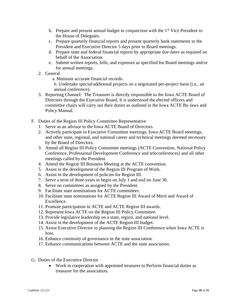- b. Prepare and present annual budget in conjunction with the  $1<sup>st</sup>$  Vice President to the House of Delegates.
- c. Prepare quarterly financial reports and present quarterly bank statements to the President and Executive Director 5 days prior to Board meetings.
- d. Prepare state and federal financial reports by appropriate due dates as required on behalf of the Association.
- e. Submit written reports, bills, and expenses as specified for Board meetings and/or for annual meetings.
- 2. General
	- a. Maintain accurate financial records.

b. Undertake special/additional projects on a negotiated per-project basis (i.e., an annual conference).

- 3. Reporting Channel: The Treasurer is directly responsible to the Iowa ACTE Board of Directors through the Executive Board. It is understood the elected officers and committee chairs will carry out their duties as outlined in the Iowa ACTE By-laws and Policy Manual.
- F. Duties of the Region III Policy Committee Representative
	- 1. Serve as an advisor to the Iowa ACTE Board of Directors.
	- 2. Actively participate in Executive Committee meetings, Iowa ACTE Board meetings, and other state, regional, and national career and technical meetings deemed necessary by the Board of Directors.
	- 3. Attend all Region III Policy Committee meetings (ACTE Convention, National Policy Conference, Professional Development Conference and teleconferences) and all other meetings called by the President
	- 4. Attend the Region III Business Meeting at the ACTE convention.
	- 5. Assist in the development of the Region III Program of Work.
	- 6. Assist in the development of policies for Region III.
	- 7. Serve a term of three years to begin on July 1 and end on June 30.
	- 8. Serve on committees as assigned by the President
	- 9. Facilitate state nominations for ACTE committees.
	- 10. Facilitate state nominations for ACTE Region III Award of Merit and Award of Excellence.
	- 11. Promote participation in ACTE and ACTE Region III awards.
	- 12. Represent Iowa ACTE on the Region III Policy Committee.
	- 13. Provide legislative leadership on a state, region, and national level.
	- 14. Assist in the development of the ACTE Region III budget.
	- 15. Assist Executive Director in planning the Region III Conference when Iowa ACTE is host.
	- 16. Enhance continuity of governance in the state association.
	- 17. Enhance communications between ACTE and the state association.
- G. Duties of the Executive Director
	- Work in cooperation with appointed treasurer to Perform financial duties as treasurer for the association.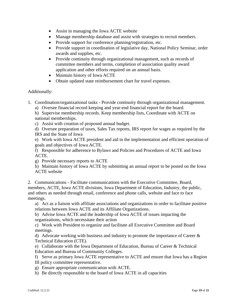- Assist in managing the Iowa ACTE website
- Manage membership database and assist with strategies to recruit members.
- Provide support for conference planning/registration, etc.
- Provide support in coordination of legislative day, National Policy Seminar, order awards and supplies, etc.
- Provide continuity through organizational management, such as records of committee members and terms, completion of association quality award application and other efforts required on an annual basis.
- Maintain history of Iowa ACTE
- Obtain updated state reimbursement chart for travel expenses.

#### Additionally:

1. Coordination/organizational tasks - Provide continuity through organizational management.

a) Oversee financial record keeping and year-end financial report for the board.

b) Supervise membership records. Keep membership lists, Coordinate with ACTE on national memberships.

c) Assist with creation of proposed annual budget.

d) Oversee preparation of taxes, Sales Tax reports, IRS report for wages as required by the IRS and the State of Iowa

e) Work with Iowa ACTE president and aid in the implementation and efficient operation of goals and objectives of Iowa ACTE.

f) Responsible for adherence to Bylaws and Policies and Procedures of ACTE and Iowa ACTE.

g) Provide necessary reports to ACTE

h) Maintain history of Iowa ACTE by submitting an annual report to be posted on the Iowa ACTE website

2. Communications - Facilitate communications with the Executive Committee, Board, members, ACTE, Iowa ACTE divisions, Iowa Department of Education, Industry, the public, and others as needed through email, conference and phone calls, website and face to face meetings.

a) Act as a liaison with affiliate associations and organizations in order to facilitate positive relations between Iowa ACTE and its Affiliate Organizations.

b) Advise Iowa ACTE and the leadership of Iowa ACTE of issues impacting the organizations, which necessitate their action

c) Work with President to organize and facilitate all Executive Committee and Board meetings.

d) Advocate working with business and industry to promote the importance of Career & Technical Education (CTE).

e) Collaborate with the Iowa Department of Education, Bureau of Career & Technical Education and Bureau of Community Colleges.

f) Serve as primary Iowa ACTE representative to ACTE and ensure that Iowa has a Region III policy committee representative.

- g) Ensure appropriate communication with ACTE.
- h) Be directly responsible to the board of Iowa ACTE in all capacities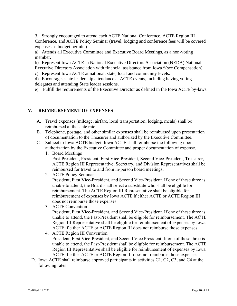3. Strongly encouraged to attend each ACTE National Conference, ACTE Region III Conference, and ACTE Policy Seminar (travel, lodging and conference fees will be covered expenses as budget permits)

a) Attends all Executive Committee and Executive Board Meetings, as a non-voting member.

b) Represent Iowa ACTE in National Executive Directors Association (NEDA) National Executive Directors Association with financial assistance from Iowa \*(see Compensation)

c) Represent Iowa ACTE at national, state, local and community levels.

d) Encourages state leadership attendance at ACTE events, including having voting delegates and attending State leader sessions.

e) Fulfill the requirements of the Executive Director as defined in the Iowa ACTE by-laws.

#### **V. REIMBURSEMENT OF EXPENSES**

- A. Travel expenses (mileage, airfare, local transportation, lodging, meals) shall be reimbursed at the state rate.
- B. Telephone, postage, and other similar expenses shall be reimbursed upon presentation of documentation to the Treasurer and authorized by the Executive Committee.
- C. Subject to Iowa ACTE budget, Iowa ACTE shall reimburse the following upon authorization by the Executive Committee and proper documentation of expense.

1. Board Meetings Past-President, President, First Vice-President, Second Vice-President, Treasurer, ACTE Region III Representative, Secretary, and Division Representatives shall be reimbursed for travel to and from in-person board meetings.

2. ACTE Policy Seminar

President, First Vice-President, and Second Vice-President. If one of these three is unable to attend, the Board shall select a substitute who shall be eligible for reimbursement. The ACTE Region III Representative shall be eligible for reimbursement of expenses by Iowa ACTE if either ACTE or ACTE Region III does not reimburse those expenses.

3. ACTE Convention

President, First Vice-President, and Second Vice-President. If one of these three is unable to attend, the Past-President shall be eligible for reimbursement. The ACTE Region III Representative shall be eligible for reimbursement of expenses by Iowa ACTE if either ACTE or ACTE Region III does not reimburse those expenses.

- 4. ACTE Region III Convention President, First Vice-President, and Second Vice President. If one of these three is unable to attend, the Past-President shall be eligible for reimbursement. The ACTE Region III Representative shall be eligible for reimbursement of expenses by Iowa ACTE if either ACTE or ACTE Region III does not reimburse those expenses.
- D. Iowa ACTE shall reimburse approved participants in activities C1, C2, C3, and C4 at the following rates: